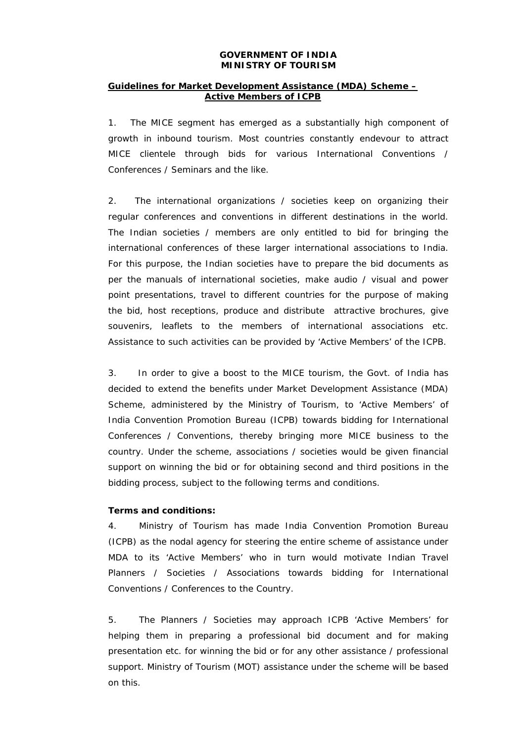#### **GOVERNMENT OF INDIA MINISTRY OF TOURISM**

### **Guidelines for Market Development Assistance (MDA) Scheme – Active Members of ICPB**

1. The MICE segment has emerged as a substantially high component of growth in inbound tourism. Most countries constantly endevour to attract MICE clientele through bids for various International Conventions / Conferences / Seminars and the like.

2. The international organizations / societies keep on organizing their regular conferences and conventions in different destinations in the world. The Indian societies / members are only entitled to bid for bringing the international conferences of these larger international associations to India. For this purpose, the Indian societies have to prepare the bid documents as per the manuals of international societies, make audio / visual and power point presentations, travel to different countries for the purpose of making the bid, host receptions, produce and distribute attractive brochures, give souvenirs, leaflets to the members of international associations etc. Assistance to such activities can be provided by 'Active Members' of the ICPB.

3. In order to give a boost to the MICE tourism, the Govt. of India has decided to extend the benefits under Market Development Assistance (MDA) Scheme, administered by the Ministry of Tourism, to 'Active Members' of India Convention Promotion Bureau (ICPB) towards bidding for International Conferences / Conventions, thereby bringing more MICE business to the country. Under the scheme, associations / societies would be given financial support on winning the bid or for obtaining second and third positions in the bidding process, subject to the following terms and conditions.

### **Terms and conditions:**

4. Ministry of Tourism has made India Convention Promotion Bureau (ICPB) as the nodal agency for steering the entire scheme of assistance under MDA to its 'Active Members' who in turn would motivate Indian Travel Planners / Societies / Associations towards bidding for International Conventions / Conferences to the Country.

5. The Planners / Societies may approach ICPB 'Active Members' for helping them in preparing a professional bid document and for making presentation etc. for winning the bid or for any other assistance / professional support. Ministry of Tourism (MOT) assistance under the scheme will be based on this.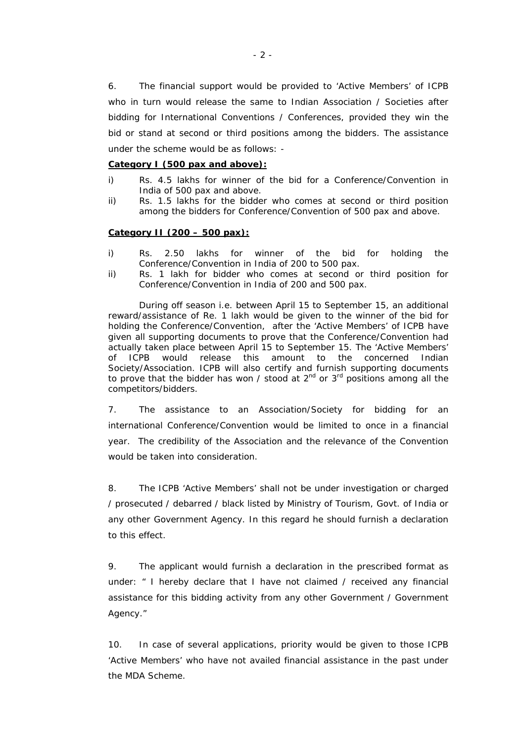6. The financial support would be provided to 'Active Members' of ICPB who in turn would release the same to Indian Association / Societies after bidding for International Conventions / Conferences, provided they win the bid or stand at second or third positions among the bidders. The assistance under the scheme would be as follows: -

### **Category I (500 pax and above):**

- i) Rs. 4.5 lakhs for winner of the bid for a Conference/Convention in India of 500 pax and above.
- ii) Rs. 1.5 lakhs for the bidder who comes at second or third position among the bidders for Conference/Convention of 500 pax and above.

#### **Category II (200 – 500 pax):**

- i) Rs. 2.50 lakhs for winner of the bid for holding the Conference/Convention in India of 200 to 500 pax.
- ii) Rs. 1 lakh for bidder who comes at second or third position for Conference/Convention in India of 200 and 500 pax.

During off season i.e. between April 15 to September 15, an additional reward/assistance of Re. 1 lakh would be given to the winner of the bid for holding the Conference/Convention, after the 'Active Members' of ICPB have given all supporting documents to prove that the Conference/Convention had actually taken place between April 15 to September 15. The 'Active Members' of ICPB would release this amount to the concerned Indian Society/Association. ICPB will also certify and furnish supporting documents to prove that the bidder has won / stood at  $2^{nd}$  or  $3^{rd}$  positions among all the competitors/bidders.

7. The assistance to an Association/Society for bidding for an international Conference/Convention would be limited to once in a financial year. The credibility of the Association and the relevance of the Convention would be taken into consideration.

8. The ICPB 'Active Members' shall not be under investigation or charged / prosecuted / debarred / black listed by Ministry of Tourism, Govt. of India or any other Government Agency. In this regard he should furnish a declaration to this effect.

9. The applicant would furnish a declaration in the prescribed format as under: " I hereby declare that I have not claimed / received any financial assistance for this bidding activity from any other Government / Government Agency."

10. In case of several applications, priority would be given to those ICPB 'Active Members' who have not availed financial assistance in the past under the MDA Scheme.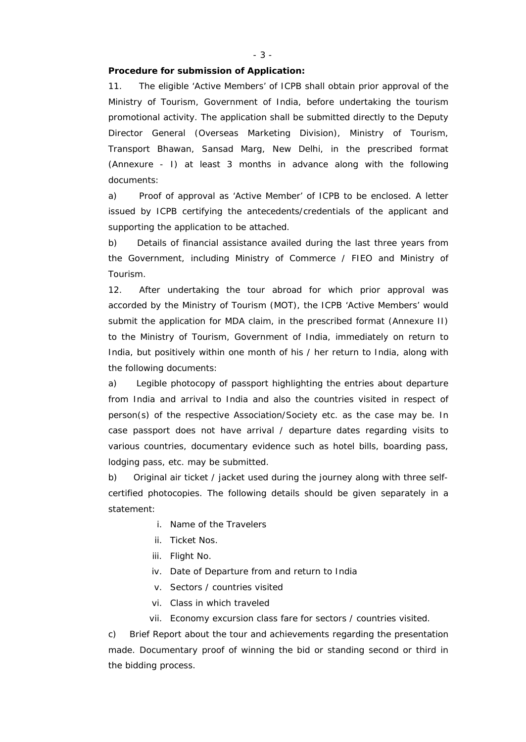# **Procedure for submission of Application:**

11. The eligible 'Active Members' of ICPB shall obtain prior approval of the Ministry of Tourism, Government of India, before undertaking the tourism promotional activity. The application shall be submitted directly to the Deputy Director General (Overseas Marketing Division), Ministry of Tourism, Transport Bhawan, Sansad Marg, New Delhi, in the prescribed format (Annexure - I) at least 3 months in advance along with the following documents:

a) Proof of approval as 'Active Member' of ICPB to be enclosed. A letter issued by ICPB certifying the antecedents/credentials of the applicant and supporting the application to be attached.

b) Details of financial assistance availed during the last three years from the Government, including Ministry of Commerce / FIEO and Ministry of Tourism.

12. After undertaking the tour abroad for which prior approval was accorded by the Ministry of Tourism (MOT), the ICPB 'Active Members' would submit the application for MDA claim, in the prescribed format (Annexure II) to the Ministry of Tourism, Government of India, immediately on return to India, but positively within one month of his / her return to India, along with the following documents:

a) Legible photocopy of passport highlighting the entries about departure from India and arrival to India and also the countries visited in respect of person(s) of the respective Association/Society etc. as the case may be. In case passport does not have arrival / departure dates regarding visits to various countries, documentary evidence such as hotel bills, boarding pass, lodging pass, etc. may be submitted.

b) Original air ticket / jacket used during the journey along with three selfcertified photocopies. The following details should be given separately in a statement:

- i. Name of the Travelers
- ii. Ticket Nos.
- iii. Flight No.
- iv. Date of Departure from and return to India
- v. Sectors / countries visited
- vi. Class in which traveled
- vii. Economy excursion class fare for sectors / countries visited.

c) Brief Report about the tour and achievements regarding the presentation made. Documentary proof of winning the bid or standing second or third in the bidding process.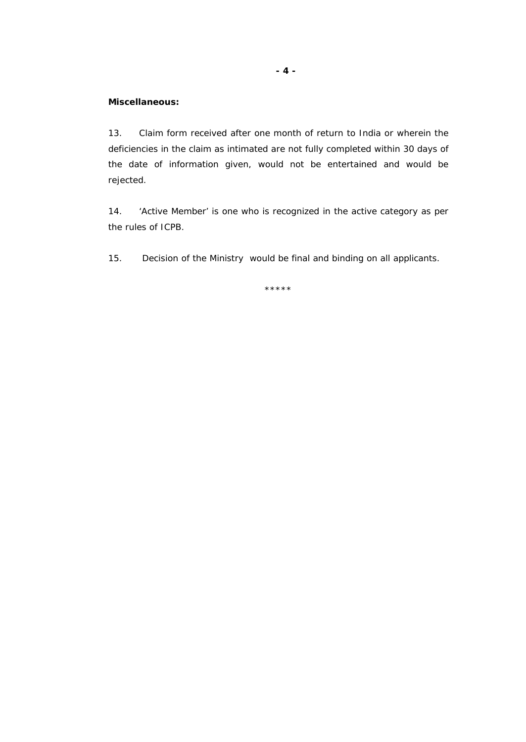# **Miscellaneous:**

13. Claim form received after one month of return to India or wherein the deficiencies in the claim as intimated are not fully completed within 30 days of the date of information given, would not be entertained and would be rejected.

14. 'Active Member' is one who is recognized in the active category as per the rules of ICPB.

15. Decision of the Ministry would be final and binding on all applicants.

\*\*\*\*\*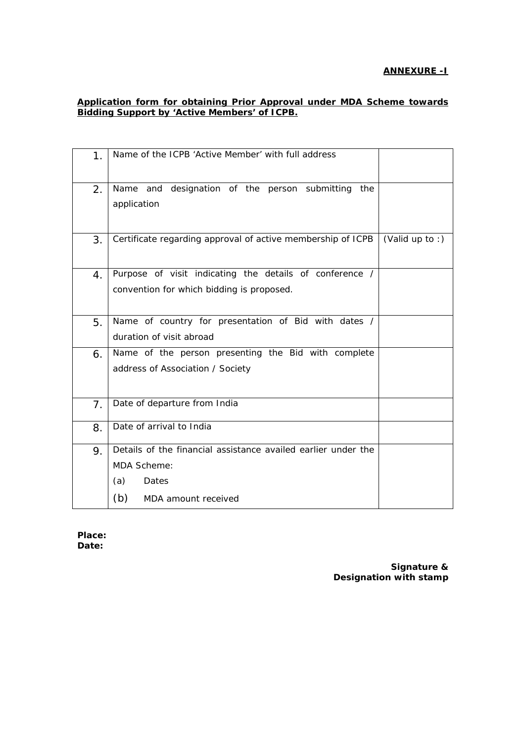# **ANNEXURE -I**

### **Application form for obtaining Prior Approval under MDA Scheme towards Bidding Support by 'Active Members' of ICPB.**

| 1 <sub>1</sub> | Name of the ICPB 'Active Member' with full address                                                                                |                 |
|----------------|-----------------------------------------------------------------------------------------------------------------------------------|-----------------|
| 2.             | Name and designation of the person submitting<br>the<br>application                                                               |                 |
| 3.             | Certificate regarding approval of active membership of ICPB                                                                       | (Valid up to :) |
| $4_{\cdot}$    | Purpose of visit indicating the details of conference /<br>convention for which bidding is proposed.                              |                 |
| 5.             | Name of country for presentation of Bid with dates /<br>duration of visit abroad                                                  |                 |
| 6.             | Name of the person presenting the Bid with complete<br>address of Association / Society                                           |                 |
| 7 <sub>1</sub> | Date of departure from India                                                                                                      |                 |
| 8.             | Date of arrival to India                                                                                                          |                 |
| 9.             | Details of the financial assistance availed earlier under the<br><b>MDA Scheme:</b><br>(a)<br>Dates<br>(b)<br>MDA amount received |                 |

**Place: Date:** 

> **Signature & Designation with stamp**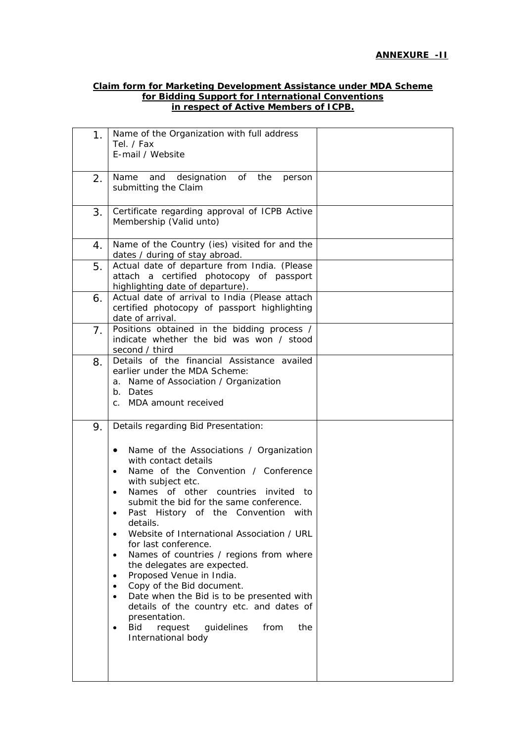#### **Claim form for Marketing Development Assistance under MDA Scheme for Bidding Support for International Conventions in respect of Active Members of ICPB.**

| 1. | Name of the Organization with full address<br>Tel. / Fax<br>E-mail / Website                                                                                                                                                                                                                                                                                                                                                                                                                                                                                                                                                                |  |
|----|---------------------------------------------------------------------------------------------------------------------------------------------------------------------------------------------------------------------------------------------------------------------------------------------------------------------------------------------------------------------------------------------------------------------------------------------------------------------------------------------------------------------------------------------------------------------------------------------------------------------------------------------|--|
| 2. | and designation of the<br>Name<br>person<br>submitting the Claim                                                                                                                                                                                                                                                                                                                                                                                                                                                                                                                                                                            |  |
| 3. | Certificate regarding approval of ICPB Active<br>Membership (Valid unto)                                                                                                                                                                                                                                                                                                                                                                                                                                                                                                                                                                    |  |
| 4. | Name of the Country (ies) visited for and the<br>dates / during of stay abroad.                                                                                                                                                                                                                                                                                                                                                                                                                                                                                                                                                             |  |
| 5. | Actual date of departure from India. (Please<br>attach a certified photocopy of passport<br>highlighting date of departure).                                                                                                                                                                                                                                                                                                                                                                                                                                                                                                                |  |
| 6. | Actual date of arrival to India (Please attach<br>certified photocopy of passport highlighting<br>date of arrival.                                                                                                                                                                                                                                                                                                                                                                                                                                                                                                                          |  |
| 7. | Positions obtained in the bidding process /<br>indicate whether the bid was won / stood<br>second / third                                                                                                                                                                                                                                                                                                                                                                                                                                                                                                                                   |  |
| 8. | Details of the financial Assistance availed<br>earlier under the MDA Scheme:<br>a. Name of Association / Organization<br>b. Dates<br>c. MDA amount received                                                                                                                                                                                                                                                                                                                                                                                                                                                                                 |  |
| 9. | Details regarding Bid Presentation:<br>Name of the Associations / Organization<br>$\bullet$<br>with contact details<br>Name of the Convention / Conference<br>with subject etc.<br>Names of other countries invited to<br>submit the bid for the same conference.<br>Past History of the Convention with<br>details.<br>Website of International Association / URL<br>$\bullet$<br>for last conference.<br>Names of countries / regions from where<br>$\bullet$<br>the delegates are expected.<br>Proposed Venue in India.<br>$\bullet$<br>Copy of the Bid document.<br>$\bullet$<br>Date when the Bid is to be presented with<br>$\bullet$ |  |
|    | details of the country etc. and dates of<br>presentation.<br>guidelines<br>from<br>Bid<br>request<br>the<br>$\bullet$<br>International body                                                                                                                                                                                                                                                                                                                                                                                                                                                                                                 |  |